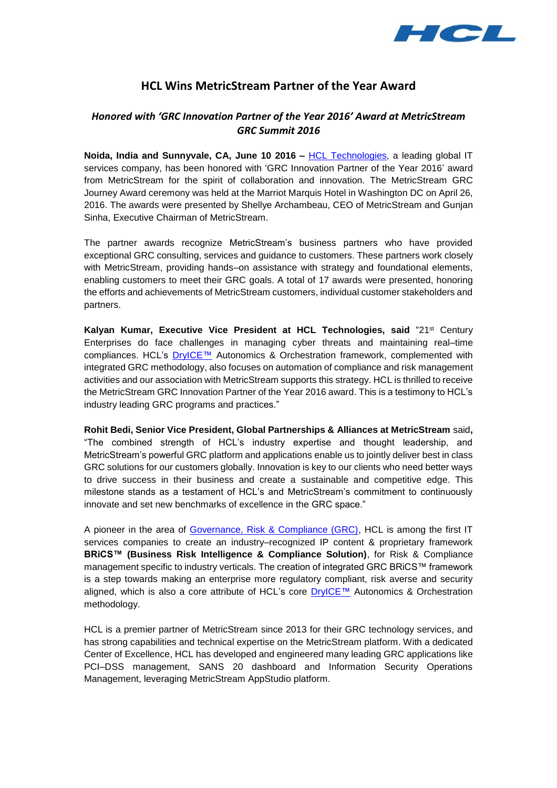

# **HCL Wins MetricStream Partner of the Year Award**

## *Honored with 'GRC Innovation Partner of the Year 2016' Award at MetricStream GRC Summit 2016*

**Noida, India and Sunnyvale, CA, June 10 2016 –** [HCL Technologies,](http://www.hcltech.com/) a leading global IT services company, has been honored with 'GRC Innovation Partner of the Year 2016' award from MetricStream for the spirit of collaboration and innovation. The MetricStream GRC Journey Award ceremony was held at the Marriot Marquis Hotel in Washington DC on April 26, 2016. The awards were presented by Shellye Archambeau, CEO of MetricStream and Gunjan Sinha, Executive Chairman of MetricStream.

The partner awards recognize MetricStream's business partners who have provided exceptional GRC consulting, services and guidance to customers. These partners work closely with MetricStream, providing hands–on assistance with strategy and foundational elements, enabling customers to meet their GRC goals. A total of 17 awards were presented, honoring the efforts and achievements of MetricStream customers, individual customer stakeholders and partners.

**Kalyan Kumar, Executive Vice President at HCL Technologies, said** "21st Century Enterprises do face challenges in managing cyber threats and maintaining real–time compliances. HCL's **[DryICE™](http://www.hcltech.com/autonomics-and-orchestration)** Autonomics & Orchestration framework, complemented with integrated GRC methodology, also focuses on automation of compliance and risk management activities and our association with MetricStream supports this strategy. HCL is thrilled to receive the MetricStream GRC Innovation Partner of the Year 2016 award. This is a testimony to HCL's industry leading GRC programs and practices."

**Rohit Bedi, Senior Vice President, Global Partnerships & Alliances at MetricStream** said**,** "The combined strength of HCL's industry expertise and thought leadership, and MetricStream's powerful GRC platform and applications enable us to jointly deliver best in class GRC solutions for our customers globally. Innovation is key to our clients who need better ways to drive success in their business and create a sustainable and competitive edge. This milestone stands as a testament of HCL's and MetricStream's commitment to continuously innovate and set new benchmarks of excellence in the GRC space."

A pioneer in the area of [Governance, Risk & Compliance \(GRC\),](http://www.hcltech.com/it-infrastructure-management/governance-risk-and-compliance-consulting) HCL is among the first IT services companies to create an industry–recognized IP content & proprietary framework **BRiCS™ (Business Risk Intelligence & Compliance Solution)**, for Risk & Compliance management specific to industry verticals. The creation of integrated GRC BRiCS™ framework is a step towards making an enterprise more regulatory compliant, risk averse and security aligned, which is also a core attribute of HCL's core [DryICE™](http://www.hcltech.com/autonomics-and-orchestration) Autonomics & Orchestration methodology.

HCL is a premier partner of MetricStream since 2013 for their GRC technology services, and has strong capabilities and technical expertise on the MetricStream platform. With a dedicated Center of Excellence, HCL has developed and engineered many leading GRC applications like PCI–DSS management, SANS 20 dashboard and Information Security Operations Management, leveraging MetricStream AppStudio platform.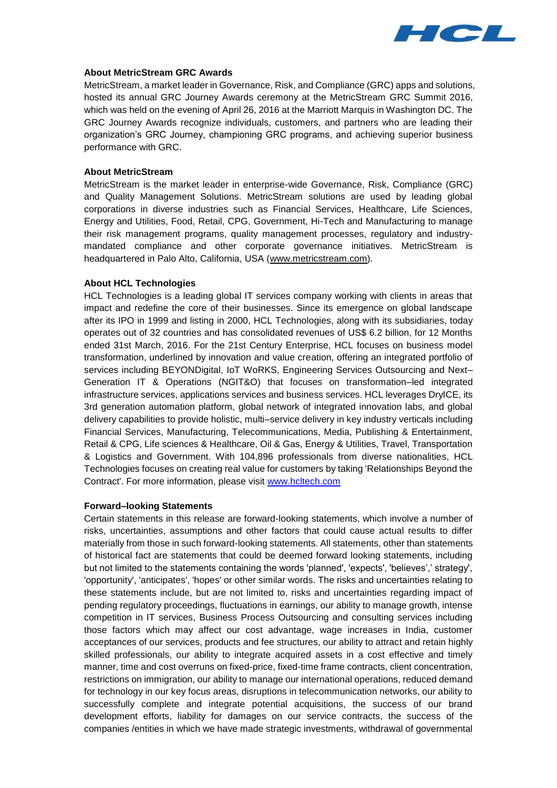

#### **About MetricStream GRC Awards**

MetricStream, a market leader in Governance, Risk, and Compliance (GRC) apps and solutions, hosted its annual GRC Journey Awards ceremony at the MetricStream GRC Summit 2016, which was held on the evening of April 26, 2016 at the Marriott Marquis in Washington DC. The GRC Journey Awards recognize individuals, customers, and partners who are leading their organization's GRC Journey, championing GRC programs, and achieving superior business performance with GRC.

### **About MetricStream**

MetricStream is the market leader in enterprise-wide Governance, Risk, Compliance (GRC) and Quality Management Solutions. MetricStream solutions are used by leading global corporations in diverse industries such as Financial Services, Healthcare, Life Sciences, Energy and Utilities, Food, Retail, CPG, Government, Hi-Tech and Manufacturing to manage their risk management programs, quality management processes, regulatory and industrymandated compliance and other corporate governance initiatives. MetricStream is headquartered in Palo Alto, California, USA [\(www.metricstream.com\)](http://www.metricstream.com/).

#### **About HCL Technologies**

HCL Technologies is a leading global IT services company working with clients in areas that impact and redefine the core of their businesses. Since its emergence on global landscape after its IPO in 1999 and listing in 2000, HCL Technologies, along with its subsidiaries, today operates out of 32 countries and has consolidated revenues of US\$ 6.2 billion, for 12 Months ended 31st March, 2016. For the 21st Century Enterprise, HCL focuses on business model transformation, underlined by innovation and value creation, offering an integrated portfolio of services including BEYONDigital, IoT WoRKS, Engineering Services Outsourcing and Next– Generation IT & Operations (NGIT&O) that focuses on transformation–led integrated infrastructure services, applications services and business services. HCL leverages DryICE, its 3rd generation automation platform, global network of integrated innovation labs, and global delivery capabilities to provide holistic, multi–service delivery in key industry verticals including Financial Services, Manufacturing, Telecommunications, Media, Publishing & Entertainment, Retail & CPG, Life sciences & Healthcare, Oil & Gas, Energy & Utilities, Travel, Transportation & Logistics and Government. With 104,896 professionals from diverse nationalities, HCL Technologies focuses on creating real value for customers by taking 'Relationships Beyond the Contract'. For more information, please visit [www.hcltech.com](http://www.hcltech.com/)

#### **Forward–looking Statements**

Certain statements in this release are forward-looking statements, which involve a number of risks, uncertainties, assumptions and other factors that could cause actual results to differ materially from those in such forward-looking statements. All statements, other than statements of historical fact are statements that could be deemed forward looking statements, including but not limited to the statements containing the words 'planned', 'expects', 'believes',' strategy', 'opportunity', 'anticipates', 'hopes' or other similar words. The risks and uncertainties relating to these statements include, but are not limited to, risks and uncertainties regarding impact of pending regulatory proceedings, fluctuations in earnings, our ability to manage growth, intense competition in IT services, Business Process Outsourcing and consulting services including those factors which may affect our cost advantage, wage increases in India, customer acceptances of our services, products and fee structures, our ability to attract and retain highly skilled professionals, our ability to integrate acquired assets in a cost effective and timely manner, time and cost overruns on fixed-price, fixed-time frame contracts, client concentration, restrictions on immigration, our ability to manage our international operations, reduced demand for technology in our key focus areas, disruptions in telecommunication networks, our ability to successfully complete and integrate potential acquisitions, the success of our brand development efforts, liability for damages on our service contracts, the success of the companies /entities in which we have made strategic investments, withdrawal of governmental